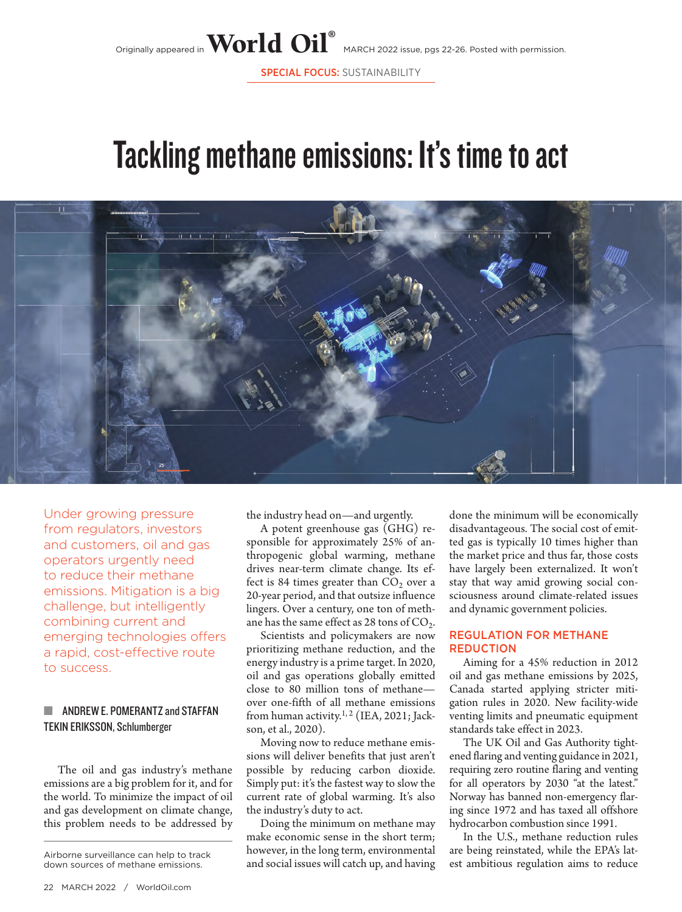SPECIAL FOCUS: SUSTAINABILITY

# Tackling methane emissions: It's time to act



Under growing pressure from regulators, investors and customers, oil and gas operators urgently need to reduce their methane emissions. Mitigation is a big challenge, but intelligently combining current and emerging technologies offers a rapid, cost-effective route to success.

## ŝ ANDREW E. POMERANTZ and STAFFAN TEKIN ERIKSSON, Schlumberger

The oil and gas industry's methane emissions are a big problem for it, and for the world. To minimize the impact of oil and gas development on climate change, this problem needs to be addressed by

down sources of methane emissions.

the industry head on—and urgently.

A potent greenhouse gas (GHG) responsible for approximately 25% of anthropogenic global warming, methane drives near-term climate change. Its effect is 84 times greater than  $CO<sub>2</sub>$  over a 20-year period, and that outsize influence lingers. Over a century, one ton of methane has the same effect as  $28$  tons of  $CO<sub>2</sub>$ .

Scientists and policymakers are now prioritizing methane reduction, and the energy industry is a prime target. In 2020, oil and gas operations globally emitted close to 80 million tons of methane over one-fifth of all methane emissions from human activity.<sup>1, 2</sup> (IEA, 2021; Jackson, et al., 2020).

Moving now to reduce methane emissions will deliver benefits that just aren't possible by reducing carbon dioxide. Simply put: it's the fastest way to slow the current rate of global warming. It's also the industry's duty to act.

Doing the minimum on methane may make economic sense in the short term; however, in the long term, environmental and social issues will catch up, and having Airborne surveillance can help to track<br>down sources of methane emissions. and social issues will catch up, and having est ambitious regulation aims to reduce

done the minimum will be economically disadvantageous. The social cost of emitted gas is typically 10 times higher than the market price and thus far, those costs have largely been externalized. It won't stay that way amid growing social consciousness around climate-related issues and dynamic government policies.

### REGULATION FOR METHANE **REDUCTION**

Aiming for a 45% reduction in 2012 oil and gas methane emissions by 2025, Canada started applying stricter mitigation rules in 2020. New facility-wide venting limits and pneumatic equipment standards take effect in 2023.

The UK Oil and Gas Authority tightened flaring and venting guidance in 2021, requiring zero routine flaring and venting for all operators by 2030 "at the latest." Norway has banned non-emergency flaring since 1972 and has taxed all offshore hydrocarbon combustion since 1991.

In the U.S., methane reduction rules are being reinstated, while the EPA's lat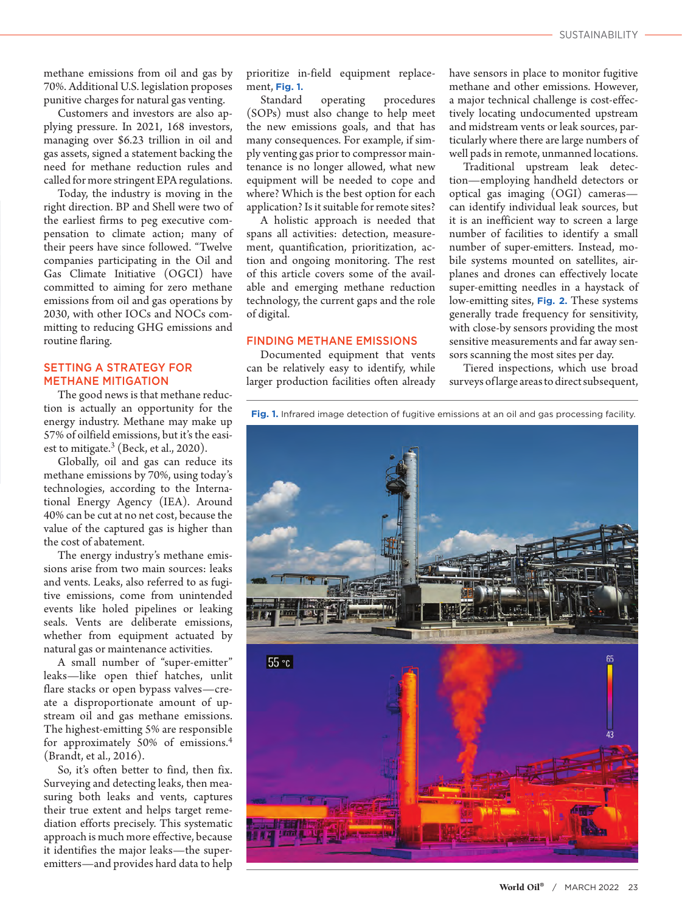methane emissions from oil and gas by 70%. Additional U.S. legislation proposes punitive charges for natural gas venting.

Customers and investors are also applying pressure. In 2021, 168 investors, managing over \$6.23 trillion in oil and gas assets, signed a statement backing the need for methane reduction rules and called for more stringent EPA regulations.

Today, the industry is moving in the right direction. BP and Shell were two of the earliest firms to peg executive compensation to climate action; many of their peers have since followed. "Twelve companies participating in the Oil and Gas Climate Initiative (OGCI) have committed to aiming for zero methane emissions from oil and gas operations by 2030, with other IOCs and NOCs committing to reducing GHG emissions and routine flaring.

## SETTING A STRATEGY FOR METHANE MITIGATION

The good news is that methane reduction is actually an opportunity for the energy industry. Methane may make up 57% of oilfield emissions, but it's the easiest to mitigate. $3$  (Beck, et al., 2020).

Globally, oil and gas can reduce its methane emissions by 70%, using today's technologies, according to the International Energy Agency (IEA). Around 40% can be cut at no net cost, because the value of the captured gas is higher than the cost of abatement.

The energy industry's methane emissions arise from two main sources: leaks and vents. Leaks, also referred to as fugitive emissions, come from unintended events like holed pipelines or leaking seals. Vents are deliberate emissions, whether from equipment actuated by natural gas or maintenance activities.

A small number of "super-emitter" leaks—like open thief hatches, unlit flare stacks or open bypass valves—create a disproportionate amount of upstream oil and gas methane emissions. The highest-emitting 5% are responsible for approximately 50% of emissions.<sup>4</sup> (Brandt, et al., 2016).

So, it's often better to find, then fix. Surveying and detecting leaks, then measuring both leaks and vents, captures their true extent and helps target remediation efforts precisely. This systematic approach is much more effective, because it identifies the major leaks—the superemitters—and provides hard data to help

prioritize in-field equipment replacement, **Fig. 1.**

Standard operating procedures (SOPs) must also change to help meet the new emissions goals, and that has many consequences. For example, if simply venting gas prior to compressor maintenance is no longer allowed, what new equipment will be needed to cope and where? Which is the best option for each application? Is it suitable for remote sites?

A holistic approach is needed that spans all activities: detection, measurement, quantification, prioritization, action and ongoing monitoring. The rest of this article covers some of the available and emerging methane reduction technology, the current gaps and the role of digital.

#### FINDING METHANE EMISSIONS

Documented equipment that vents can be relatively easy to identify, while larger production facilities often already have sensors in place to monitor fugitive methane and other emissions. However, a major technical challenge is cost-effectively locating undocumented upstream and midstream vents or leak sources, particularly where there are large numbers of well pads in remote, unmanned locations.

Traditional upstream leak detection—employing handheld detectors or optical gas imaging (OGI) cameras can identify individual leak sources, but it is an inefficient way to screen a large number of facilities to identify a small number of super-emitters. Instead, mobile systems mounted on satellites, airplanes and drones can effectively locate super-emitting needles in a haystack of low-emitting sites, **Fig. 2.** These systems generally trade frequency for sensitivity, with close-by sensors providing the most sensitive measurements and far away sensors scanning the most sites per day.

Tiered inspections, which use broad surveys of large areas to direct subsequent,

**Fig. 1.** Infrared image detection of fugitive emissions at an oil and gas processing facility.

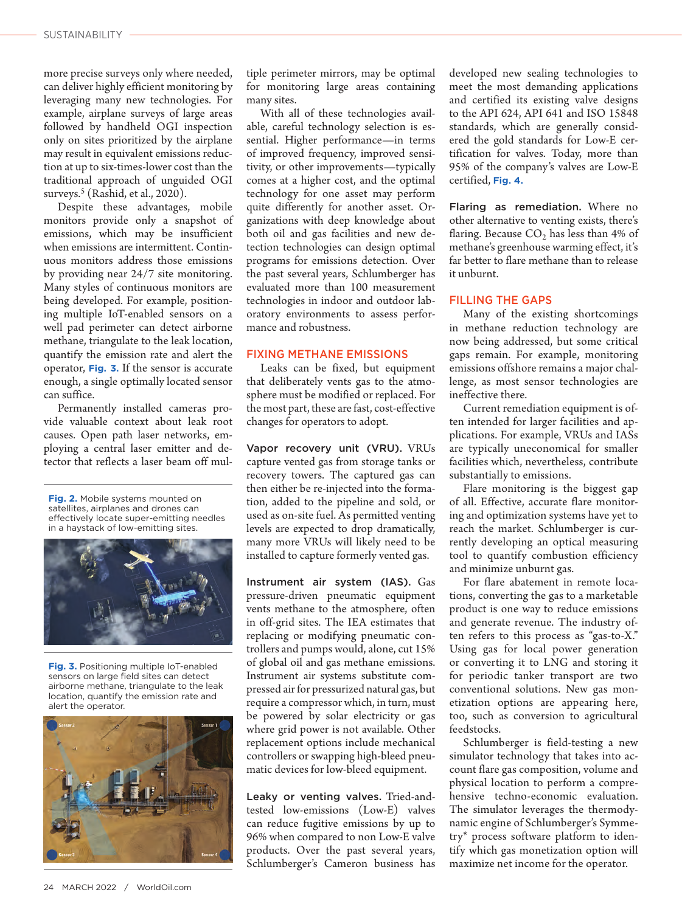more precise surveys only where needed, can deliver highly efficient monitoring by leveraging many new technologies. For example, airplane surveys of large areas followed by handheld OGI inspection only on sites prioritized by the airplane may result in equivalent emissions reduction at up to six-times-lower cost than the traditional approach of unguided OGI surveys.<sup>5</sup> (Rashid, et al., 2020).

Despite these advantages, mobile monitors provide only a snapshot of emissions, which may be insufficient when emissions are intermittent. Continuous monitors address those emissions by providing near 24/7 site monitoring. Many styles of continuous monitors are being developed. For example, positioning multiple IoT-enabled sensors on a well pad perimeter can detect airborne methane, triangulate to the leak location, quantify the emission rate and alert the operator, **Fig. 3.** If the sensor is accurate enough, a single optimally located sensor can suffice.

Permanently installed cameras provide valuable context about leak root causes. Open path laser networks, employing a central laser emitter and detector that reflects a laser beam off mul-

**Fig. 2.** Mobile systems mounted on satellites, airplanes and drones can effectively locate super-emitting needles in a haystack of low-emitting sites.



**Fig. 3.** Positioning multiple IoT-enabled sensors on large field sites can detect airborne methane, triangulate to the leak location, quantify the emission rate and alert the operator.



tiple perimeter mirrors, may be optimal for monitoring large areas containing many sites.

With all of these technologies available, careful technology selection is essential. Higher performance—in terms of improved frequency, improved sensitivity, or other improvements—typically comes at a higher cost, and the optimal technology for one asset may perform quite differently for another asset. Organizations with deep knowledge about both oil and gas facilities and new detection technologies can design optimal programs for emissions detection. Over the past several years, Schlumberger has evaluated more than 100 measurement technologies in indoor and outdoor laboratory environments to assess performance and robustness.

### FIXING METHANE EMISSIONS

Leaks can be fixed, but equipment that deliberately vents gas to the atmosphere must be modified or replaced. For the most part, these are fast, cost-effective changes for operators to adopt.

Vapor recovery unit (VRU). VRUs capture vented gas from storage tanks or recovery towers. The captured gas can then either be re-injected into the formation, added to the pipeline and sold, or used as on-site fuel. As permitted venting levels are expected to drop dramatically, many more VRUs will likely need to be installed to capture formerly vented gas.

Instrument air system (IAS). Gas pressure-driven pneumatic equipment vents methane to the atmosphere, often in off-grid sites. The IEA estimates that replacing or modifying pneumatic controllers and pumps would, alone, cut 15% of global oil and gas methane emissions. Instrument air systems substitute compressed air for pressurized natural gas, but require a compressor which, in turn, must be powered by solar electricity or gas where grid power is not available. Other replacement options include mechanical controllers or swapping high-bleed pneumatic devices for low-bleed equipment.

Leaky or venting valves. Tried-andtested low-emissions (Low-E) valves can reduce fugitive emissions by up to 96% when compared to non Low-E valve products. Over the past several years, Schlumberger's Cameron business has developed new sealing technologies to meet the most demanding applications and certified its existing valve designs to the API 624, API 641 and ISO 15848 standards, which are generally considered the gold standards for Low-E certification for valves. Today, more than 95% of the company's valves are Low-E certified, **Fig. 4.**

Flaring as remediation. Where no other alternative to venting exists, there's flaring. Because  $CO<sub>2</sub>$  has less than 4% of methane's greenhouse warming effect, it's far better to flare methane than to release it unburnt.

#### FILLING THE GAPS

Many of the existing shortcomings in methane reduction technology are now being addressed, but some critical gaps remain. For example, monitoring emissions offshore remains a major challenge, as most sensor technologies are ineffective there.

Current remediation equipment is often intended for larger facilities and applications. For example, VRUs and IASs are typically uneconomical for smaller facilities which, nevertheless, contribute substantially to emissions.

Flare monitoring is the biggest gap of all. Effective, accurate flare monitoring and optimization systems have yet to reach the market. Schlumberger is currently developing an optical measuring tool to quantify combustion efficiency and minimize unburnt gas.

For flare abatement in remote locations, converting the gas to a marketable product is one way to reduce emissions and generate revenue. The industry often refers to this process as "gas-to-X." Using gas for local power generation or converting it to LNG and storing it for periodic tanker transport are two conventional solutions. New gas monetization options are appearing here, too, such as conversion to agricultural feedstocks.

Schlumberger is field-testing a new simulator technology that takes into account flare gas composition, volume and physical location to perform a comprehensive techno-economic evaluation. The simulator leverages the thermodynamic engine of Schlumberger's Symmetry\* process software platform to identify which gas monetization option will maximize net income for the operator.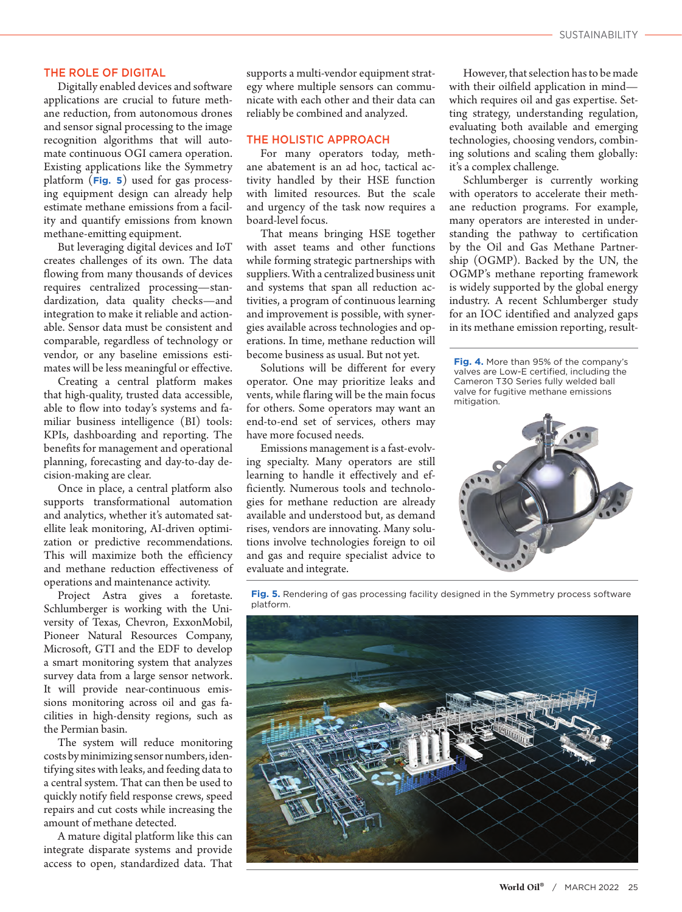#### THE ROLE OF DIGITAL

Digitally enabled devices and software applications are crucial to future methane reduction, from autonomous drones and sensor signal processing to the image recognition algorithms that will automate continuous OGI camera operation. Existing applications like the Symmetry platform (**Fig. 5**) used for gas processing equipment design can already help estimate methane emissions from a facility and quantify emissions from known methane-emitting equipment.

But leveraging digital devices and IoT creates challenges of its own. The data flowing from many thousands of devices requires centralized processing—standardization, data quality checks—and integration to make it reliable and actionable. Sensor data must be consistent and comparable, regardless of technology or vendor, or any baseline emissions estimates will be less meaningful or effective.

Creating a central platform makes that high-quality, trusted data accessible, able to flow into today's systems and familiar business intelligence (BI) tools: KPIs, dashboarding and reporting. The benefits for management and operational planning, forecasting and day-to-day decision-making are clear.

Once in place, a central platform also supports transformational automation and analytics, whether it's automated satellite leak monitoring, AI-driven optimization or predictive recommendations. This will maximize both the efficiency and methane reduction effectiveness of operations and maintenance activity.

Project Astra gives a foretaste. Schlumberger is working with the University of Texas, Chevron, ExxonMobil, Pioneer Natural Resources Company, Microsoft, GTI and the EDF to develop a smart monitoring system that analyzes survey data from a large sensor network. It will provide near-continuous emissions monitoring across oil and gas facilities in high-density regions, such as the Permian basin.

The system will reduce monitoring costs by minimizing sensor numbers, identifying sites with leaks, and feeding data to a central system. That can then be used to quickly notify field response crews, speed repairs and cut costs while increasing the amount of methane detected.

A mature digital platform like this can integrate disparate systems and provide access to open, standardized data. That

supports a multi-vendor equipment strategy where multiple sensors can communicate with each other and their data can reliably be combined and analyzed.

#### THE HOLISTIC APPROACH

For many operators today, methane abatement is an ad hoc, tactical activity handled by their HSE function with limited resources. But the scale and urgency of the task now requires a board-level focus.

That means bringing HSE together with asset teams and other functions while forming strategic partnerships with suppliers. With a centralized business unit and systems that span all reduction activities, a program of continuous learning and improvement is possible, with synergies available across technologies and operations. In time, methane reduction will become business as usual. But not yet.

Solutions will be different for every operator. One may prioritize leaks and vents, while flaring will be the main focus for others. Some operators may want an end-to-end set of services, others may have more focused needs.

Emissions management is a fast-evolving specialty. Many operators are still learning to handle it effectively and efficiently. Numerous tools and technologies for methane reduction are already available and understood but, as demand rises, vendors are innovating. Many solutions involve technologies foreign to oil and gas and require specialist advice to evaluate and integrate.

However, that selection has to be made with their oilfield application in mind which requires oil and gas expertise. Setting strategy, understanding regulation, evaluating both available and emerging technologies, choosing vendors, combining solutions and scaling them globally: it's a complex challenge.

Schlumberger is currently working with operators to accelerate their methane reduction programs. For example, many operators are interested in understanding the pathway to certification by the Oil and Gas Methane Partnership (OGMP). Backed by the UN, the OGMP's methane reporting framework is widely supported by the global energy industry. A recent Schlumberger study for an IOC identified and analyzed gaps in its methane emission reporting, result-

**Fig. 4.** More than 95% of the company's valves are Low-E certified, including the Cameron T30 Series fully welded ball valve for fugitive methane emissions mitigation.



**Fig. 5.** Rendering of gas processing facility designed in the Symmetry process software platform.